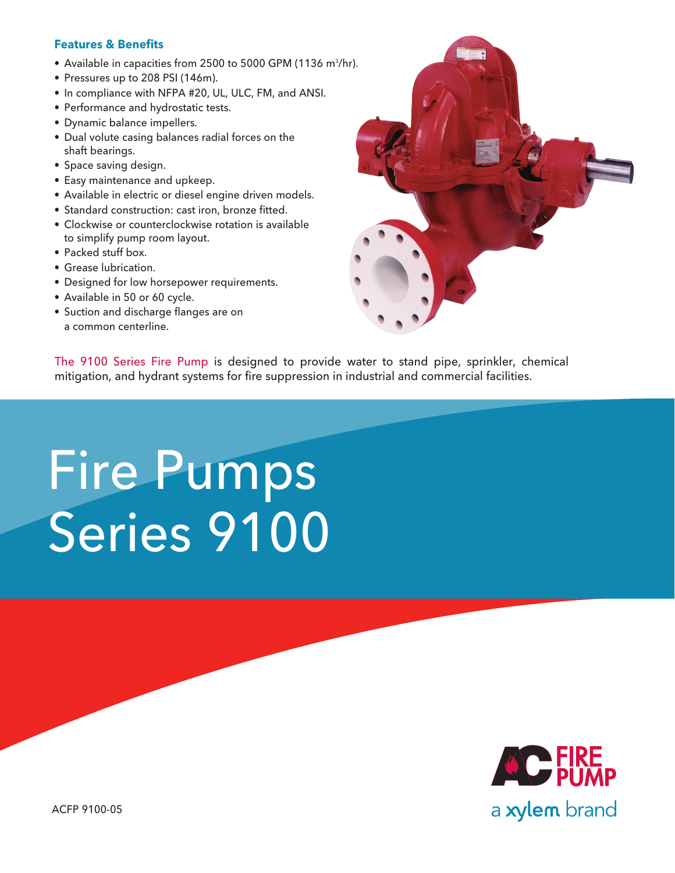## **Features & Benefits**

- Available in capacities from 2500 to 5000 GPM (1136 m $^3$ /hr).
- Pressures up to 208 PSI (146m).
- In compliance with NFPA #20, UL, ULC, FM, and ANSI.
- Performance and hydrostatic tests.
- • Dynamic balance impellers.
- Dual volute casing balances radial forces on the shaft bearings.
- Space saving design.
- • Easy maintenance and upkeep.
- Available in electric or diesel engine driven models.
- Standard construction: cast iron, bronze fitted.
- Clockwise or counterclockwise rotation is available to simplify pump room layout.
- Packed stuff box.
- • Grease lubrication.
- Designed for low horsepower requirements.
- Available in 50 or 60 cycle.
- Suction and discharge flanges are on a common centerline.



The 9100 Series Fire Pump is designed to provide water to stand pipe, sprinkler, chemical mitigation, and hydrant systems for fire suppression in industrial and commercial facilities.

## Fire Pumps Series 9100



ACFP 9100-05